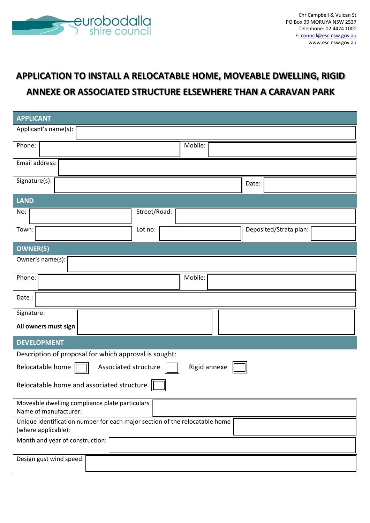

# **APPLICATION TO INSTALL A RELOCATABLE HOME, MOVEABLE DWELLING, RIGID ANNEXE OR ASSOCIATED STRUCTURE ELSEWHERE THAN A CARAVAN PARK**

| <b>APPLICANT</b>                                                                                   |              |         |  |       |                        |  |
|----------------------------------------------------------------------------------------------------|--------------|---------|--|-------|------------------------|--|
| Applicant's name(s):                                                                               |              |         |  |       |                        |  |
| Phone:                                                                                             |              | Mobile: |  |       |                        |  |
| Email address:                                                                                     |              |         |  |       |                        |  |
| Signature(s):                                                                                      |              |         |  | Date: |                        |  |
| <b>LAND</b>                                                                                        |              |         |  |       |                        |  |
| No:                                                                                                | Street/Road: |         |  |       |                        |  |
| Town:                                                                                              | Lot no:      |         |  |       | Deposited/Strata plan: |  |
| <b>OWNER(S)</b>                                                                                    |              |         |  |       |                        |  |
| Owner's name(s):                                                                                   |              |         |  |       |                        |  |
| Phone:                                                                                             |              | Mobile: |  |       |                        |  |
| Date:                                                                                              |              |         |  |       |                        |  |
| Signature:                                                                                         |              |         |  |       |                        |  |
| All owners must sign                                                                               |              |         |  |       |                        |  |
| <b>DEVELOPMENT</b>                                                                                 |              |         |  |       |                        |  |
| Description of proposal for which approval is sought:                                              |              |         |  |       |                        |  |
| Associated structure<br>Rigid annexe<br>Relocatable home                                           |              |         |  |       |                        |  |
| Relocatable home and associated structure                                                          |              |         |  |       |                        |  |
| Moveable dwelling compliance plate particulars<br>Name of manufacturer:                            |              |         |  |       |                        |  |
| Unique identification number for each major section of the relocatable home<br>(where applicable): |              |         |  |       |                        |  |
| Month and year of construction:                                                                    |              |         |  |       |                        |  |
| Design gust wind speed:                                                                            |              |         |  |       |                        |  |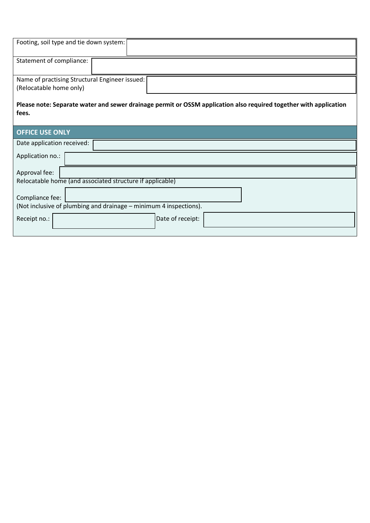| Footing, soil type and tie down system:                                                                                    |
|----------------------------------------------------------------------------------------------------------------------------|
| Statement of compliance:                                                                                                   |
| Name of practising Structural Engineer issued:                                                                             |
| (Relocatable home only)                                                                                                    |
| Please note: Separate water and sewer drainage permit or OSSM application also required together with application<br>fees. |
| <b>OFFICE USE ONLY</b>                                                                                                     |
| Date application received:                                                                                                 |
| Application no.:                                                                                                           |
| Approval fee:                                                                                                              |
| Relocatable home (and associated structure if applicable)                                                                  |
| Compliance fee:<br>(Not inclusive of plumbing and drainage - minimum 4 inspections).                                       |
| Receipt no.:<br>Date of receipt:                                                                                           |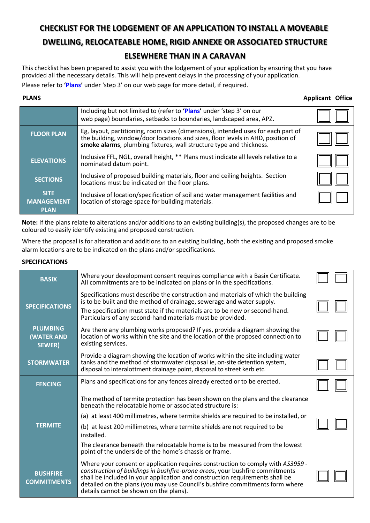# **CHECKLIST FOR THE LODGEMENT OF AN APPLICATION TO INSTALL A MOVEABLE**

## **DWELLING, RELOCATEABLE HOME, RIGID ANNEXE OR ASSOCIATED STRUCTURE**

# **ELSEWHERE THAN IN A CARAVAN**

This checklist has been prepared to assist you with the lodgement of your application by ensuring that you have provided all the necessary details. This will help prevent delays in the processing of your application.

Please refer to **'Plans'** under ['step 3'](https://www.esc.nsw.gov.au/property/development/the-development-process) on our web page for more detail, if required.

**PLANS** Applicant Office

|                                                 | Including but not limited to (refer to 'Plans' under 'step 3' on our<br>web page) boundaries, setbacks to boundaries, landscaped area, APZ.                                                                                                 |  |
|-------------------------------------------------|---------------------------------------------------------------------------------------------------------------------------------------------------------------------------------------------------------------------------------------------|--|
| <b>FLOOR PLAN</b>                               | Eg, layout, partitioning, room sizes (dimensions), intended uses for each part of<br>the building, window/door locations and sizes, floor levels in AHD, position of<br>smoke alarms, plumbing fixtures, wall structure type and thickness. |  |
| <b>ELEVATIONS</b>                               | Inclusive FFL, NGL, overall height, ** Plans must indicate all levels relative to a<br>nominated datum point.                                                                                                                               |  |
| <b>SECTIONS</b>                                 | Inclusive of proposed building materials, floor and ceiling heights. Section<br>locations must be indicated on the floor plans.                                                                                                             |  |
| <b>SITE</b><br><b>MANAGEMENT</b><br><b>PLAN</b> | Inclusive of location/specification of soil and water management facilities and<br>location of storage space for building materials.                                                                                                        |  |

**Note:** If the plans relate to alterations and/or additions to an existing building(s), the proposed changes are to be coloured to easily identify existing and proposed construction.

Where the proposal is for alteration and additions to an existing building, both the existing and proposed smoke alarm locations are to be indicated on the plans and/or specifications.

### **SPECIFICATIONS**

| <b>BASIX</b>                                           | Where your development consent requires compliance with a Basix Certificate.<br>All commitments are to be indicated on plans or in the specifications.                                                                                                                                                                                                                    |  |
|--------------------------------------------------------|---------------------------------------------------------------------------------------------------------------------------------------------------------------------------------------------------------------------------------------------------------------------------------------------------------------------------------------------------------------------------|--|
| <b>SPECIFICATIONS</b>                                  | Specifications must describe the construction and materials of which the building<br>is to be built and the method of drainage, sewerage and water supply.<br>The specification must state if the materials are to be new or second-hand.<br>Particulars of any second-hand materials must be provided.                                                                   |  |
| <b>PLUMBING</b><br><b>(WATER AND</b><br><b>SEWER</b> ) | Are there any plumbing works proposed? If yes, provide a diagram showing the<br>location of works within the site and the location of the proposed connection to<br>existing services.                                                                                                                                                                                    |  |
| <b>STORMWATER</b>                                      | Provide a diagram showing the location of works within the site including water<br>tanks and the method of stormwater disposal ie, on-site detention system,<br>disposal to interalottment drainage point, disposal to street kerb etc.                                                                                                                                   |  |
| <b>FENCING</b>                                         | Plans and specifications for any fences already erected or to be erected.                                                                                                                                                                                                                                                                                                 |  |
|                                                        | The method of termite protection has been shown on the plans and the clearance<br>beneath the relocatable home or associated structure is:                                                                                                                                                                                                                                |  |
|                                                        | (a) at least 400 millimetres, where termite shields are required to be installed, or                                                                                                                                                                                                                                                                                      |  |
| <b>TERMITE</b>                                         | (b) at least 200 millimetres, where termite shields are not required to be<br>installed.                                                                                                                                                                                                                                                                                  |  |
|                                                        | The clearance beneath the relocatable home is to be measured from the lowest<br>point of the underside of the home's chassis or frame.                                                                                                                                                                                                                                    |  |
| <b>BUSHFIRE</b><br><b>COMMITMENTS</b>                  | Where your consent or application requires construction to comply with AS3959 -<br>construction of buildings in bushfire-prone areas, your bushfire commitments<br>shall be included in your application and construction requirements shall be<br>detailed on the plans (you may use Council's bushfire commitments form where<br>details cannot be shown on the plans). |  |